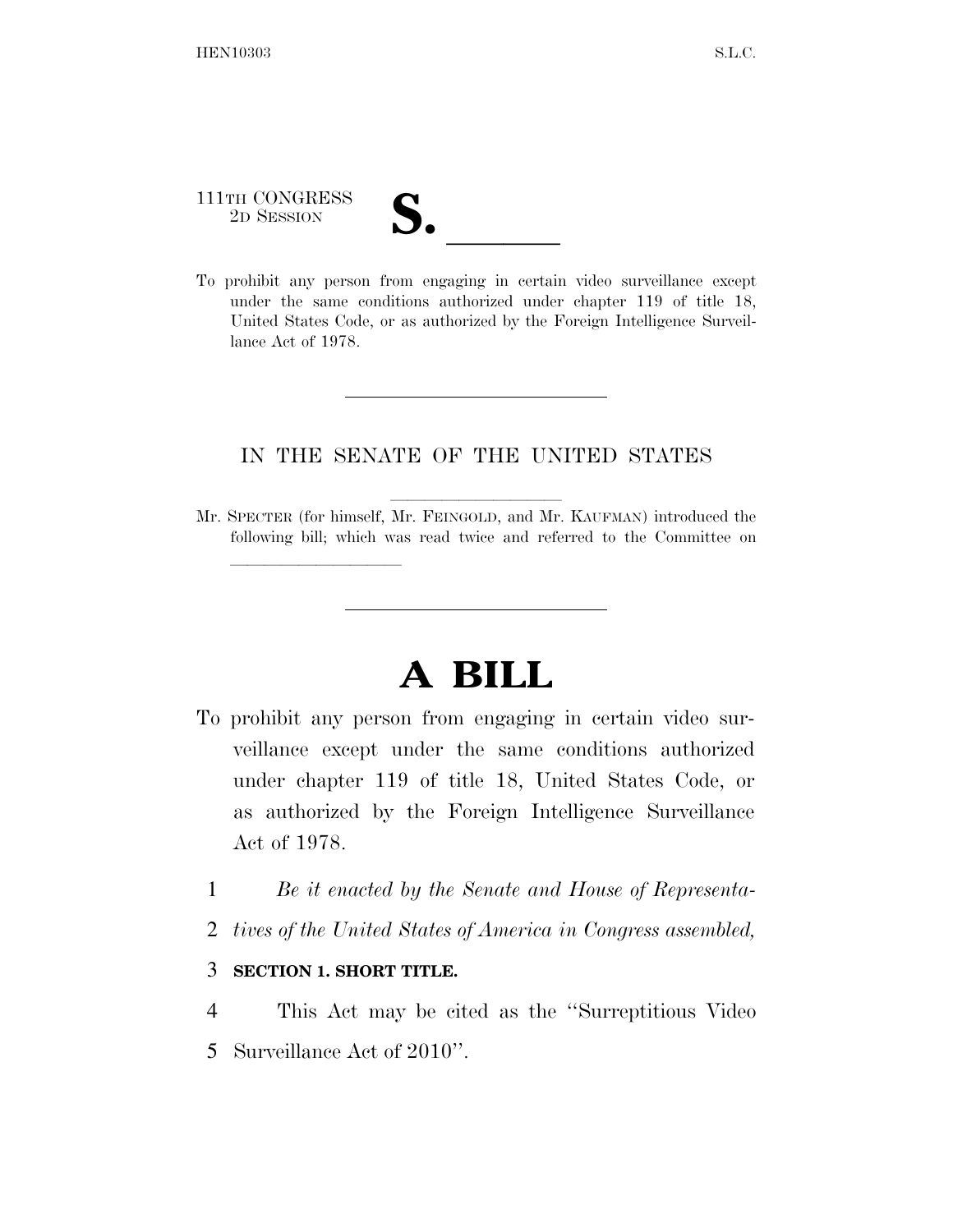## 111TH CONGRESS 111TH CONGRESS<br>
2D SESSION<br>
To prohibit any person from engaging in certain video surveillance except

lla se al constituir a la constituir a la constituir a la constituir a la constituir a la constituir a la cons<br>La constituir a la constituir a la constituir a la constituir a la constituir a la constituir a la constituir

under the same conditions authorized under chapter 119 of title 18, United States Code, or as authorized by the Foreign Intelligence Surveillance Act of 1978.

## IN THE SENATE OF THE UNITED STATES

Mr. SPECTER (for himself, Mr. FEINGOLD, and Mr. KAUFMAN) introduced the following bill; which was read twice and referred to the Committee on

## **A BILL**

- To prohibit any person from engaging in certain video surveillance except under the same conditions authorized under chapter 119 of title 18, United States Code, or as authorized by the Foreign Intelligence Surveillance Act of 1978.
	- 1 *Be it enacted by the Senate and House of Representa-*
	- 2 *tives of the United States of America in Congress assembled,*

## 3 **SECTION 1. SHORT TITLE.**

- 4 This Act may be cited as the ''Surreptitious Video
- 5 Surveillance Act of 2010''.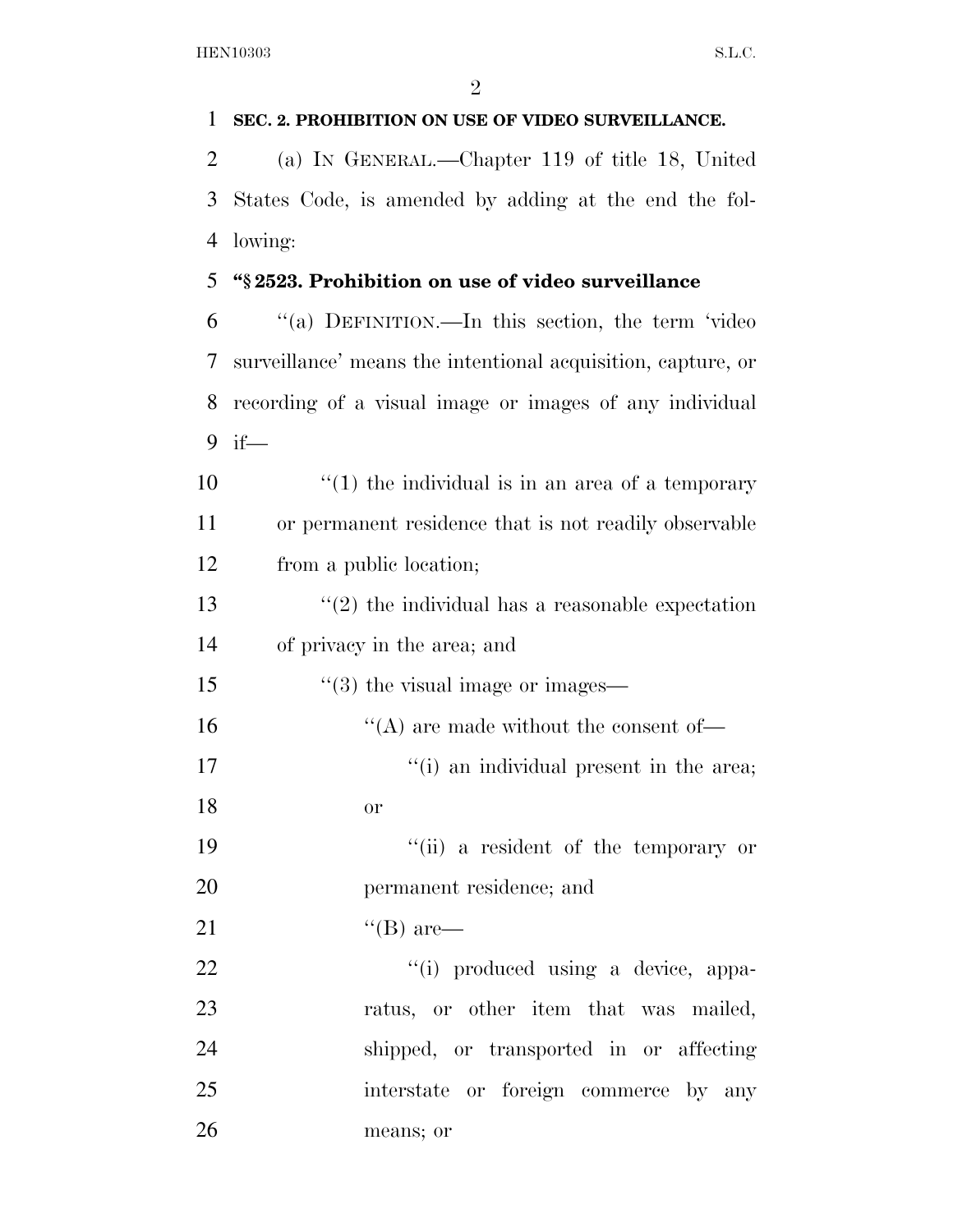| 1  | SEC. 2. PROHIBITION ON USE OF VIDEO SURVEILLANCE.            |
|----|--------------------------------------------------------------|
| 2  | (a) IN GENERAL.—Chapter 119 of title 18, United              |
| 3  | States Code, is amended by adding at the end the fol-        |
| 4  | lowing:                                                      |
| 5  | "§2523. Prohibition on use of video surveillance             |
| 6  | "(a) DEFINITION.—In this section, the term 'video            |
| 7  | surveillance' means the intentional acquisition, capture, or |
| 8  | recording of a visual image or images of any individual      |
| 9  | $if$ —                                                       |
| 10 | $``(1)$ the individual is in an area of a temporary          |
| 11 | or permanent residence that is not readily observable        |
| 12 | from a public location;                                      |
| 13 | $\lq(2)$ the individual has a reasonable expectation         |
| 14 | of privacy in the area; and                                  |
| 15 | $\cdot\cdot(3)$ the visual image or images—                  |
| 16 | $\lq\lq$ are made without the consent of —                   |
| 17 | "(i) an individual present in the area;                      |
| 18 | or                                                           |
| 19 | "(ii) a resident of the temporary or                         |
| 20 | permanent residence; and                                     |
| 21 | $\lq\lq (B)$ are—                                            |
| 22 | "(i) produced using a device, appa-                          |
| 23 | ratus, or other item that was mailed,                        |
| 24 | shipped, or transported in or affecting                      |
| 25 | interstate or foreign commerce by any                        |
| 26 | means; or                                                    |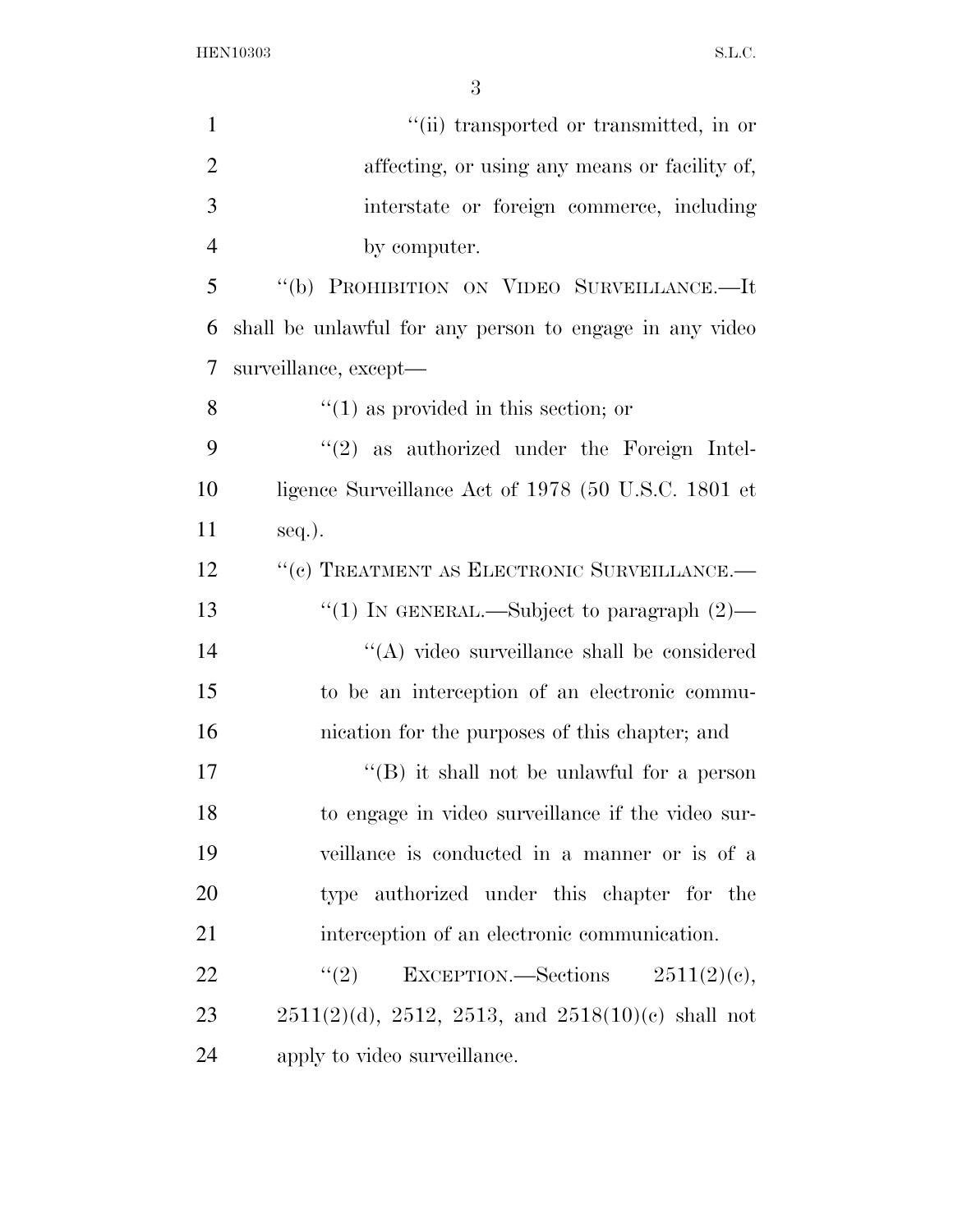HEN10303 S.L.C.

| $\mathbf{1}$   | "(ii) transported or transmitted, in or                      |
|----------------|--------------------------------------------------------------|
| $\overline{2}$ | affecting, or using any means or facility of,                |
| 3              | interstate or foreign commerce, including                    |
| $\overline{4}$ | by computer.                                                 |
| 5              | "(b) PROHIBITION ON VIDEO SURVEILLANCE.-It                   |
| 6              | shall be unlawful for any person to engage in any video      |
| 7              | surveillance, except-                                        |
| 8              | $\lq(1)$ as provided in this section; or                     |
| 9              | $"(2)$ as authorized under the Foreign Intel-                |
| 10             | ligence Surveillance Act of 1978 (50 U.S.C. 1801 et          |
| 11             | $seq.$ ).                                                    |
| 12             | "(c) TREATMENT AS ELECTRONIC SURVEILLANCE.-                  |
| 13             | "(1) IN GENERAL.—Subject to paragraph $(2)$ —                |
| 14             | "(A) video surveillance shall be considered                  |
| 15             | to be an interception of an electronic commu-                |
| 16             | nication for the purposes of this chapter; and               |
| 17             | $\lq$ (B) it shall not be unlawful for a person              |
| 18             | to engage in video surveillance if the video sur-            |
| 19             | veillance is conducted in a manner or is of a                |
| 20             | type authorized under this chapter for the                   |
| 21             | interception of an electronic communication.                 |
| 22             | (2)<br>EXCEPTION.—Sections $2511(2)(e)$ ,                    |
| 23             | $2511(2)(d)$ , $2512$ , $2513$ , and $2518(10)(e)$ shall not |
| 24             | apply to video surveillance.                                 |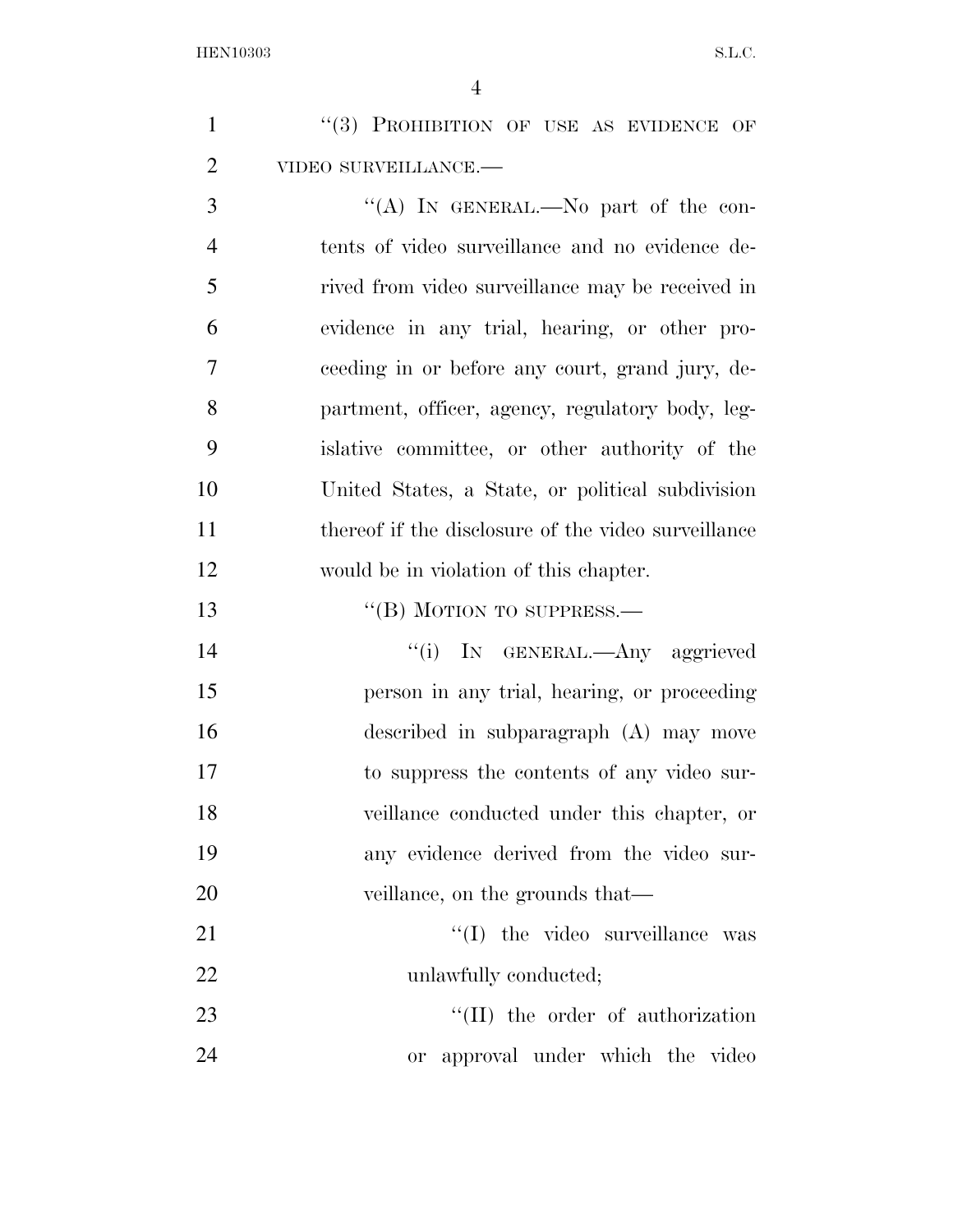| $\mathbf{1}$   | "(3) PROHIBITION OF USE AS EVIDENCE OF              |
|----------------|-----------------------------------------------------|
| $\overline{2}$ | VIDEO SURVEILLANCE.-                                |
| 3              | "(A) IN GENERAL.—No part of the con-                |
| $\overline{4}$ | tents of video surveillance and no evidence de-     |
| 5              | rived from video surveillance may be received in    |
| 6              | evidence in any trial, hearing, or other pro-       |
| 7              | ceeding in or before any court, grand jury, de-     |
| 8              | partment, officer, agency, regulatory body, leg-    |
| 9              | islative committee, or other authority of the       |
| 10             | United States, a State, or political subdivision    |
| 11             | thereof if the disclosure of the video surveillance |
| 12             | would be in violation of this chapter.              |
| 13             | "(B) MOTION TO SUPPRESS.—                           |
| 14             | "(i) IN GENERAL.—Any aggrieved                      |
| 15             | person in any trial, hearing, or proceeding         |
| 16             | described in subparagraph (A) may move              |
| 17             | to suppress the contents of any video sur-          |
| 18             | veillance conducted under this chapter, or          |
| 19             | any evidence derived from the video sur-            |
| 20             | veillance, on the grounds that—                     |
| 21             | "(I) the video surveillance was                     |
| 22             | unlawfully conducted;                               |
| 23             | $\lq\lq$ (II) the order of authorization            |
| 24             | approval under which the video<br>or                |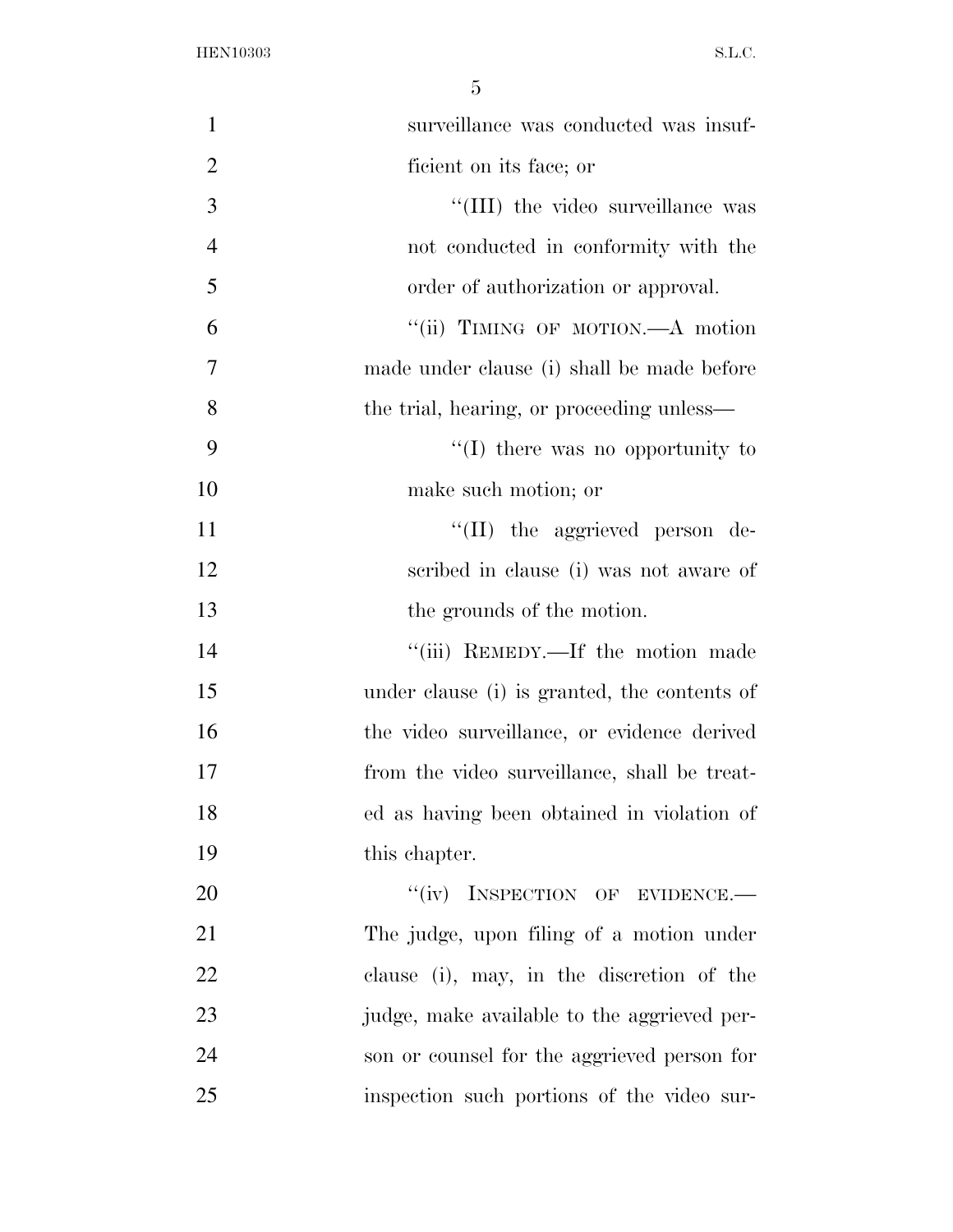HEN10303 S.L.C.

| $\mathbf{1}$   | surveillance was conducted was insuf-        |
|----------------|----------------------------------------------|
| $\overline{2}$ | ficient on its face; or                      |
| 3              | "(III) the video surveillance was            |
| $\overline{4}$ | not conducted in conformity with the         |
| 5              | order of authorization or approval.          |
| 6              | "(ii) TIMING OF MOTION.—A motion             |
| 7              | made under clause (i) shall be made before   |
| 8              | the trial, hearing, or proceeding unless—    |
| 9              | $\lq\lq$ (I) there was no opportunity to     |
| 10             | make such motion; or                         |
| 11             | $\lq\lq$ (II) the aggrieved person de-       |
| 12             | scribed in clause (i) was not aware of       |
| 13             | the grounds of the motion.                   |
| 14             | "(iii) REMEDY.—If the motion made            |
| 15             | under clause (i) is granted, the contents of |
| 16             | the video surveillance, or evidence derived  |
| 17             | from the video surveillance, shall be treat- |
| 18             | ed as having been obtained in violation of   |
| 19             | this chapter.                                |
| 20             | "(iv) INSPECTION OF EVIDENCE.-               |
| 21             | The judge, upon filing of a motion under     |
| <u>22</u>      | clause (i), may, in the discretion of the    |
| 23             | judge, make available to the aggrieved per-  |
| 24             | son or counsel for the aggrieved person for  |
| 25             | inspection such portions of the video sur-   |